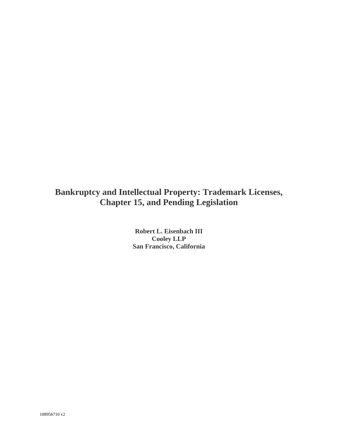# **Bankruptcy and Intellectual Property: Trademark Licenses, Chapter 15, and Pending Legislation**

**Robert L. Eisenbach III Cooley LLP San Francisco, California**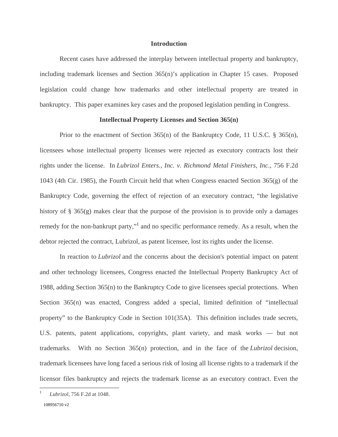### **Introduction**

 Recent cases have addressed the interplay between intellectual property and bankruptcy, including trademark licenses and Section 365(n)'s application in Chapter 15 cases. Proposed legislation could change how trademarks and other intellectual property are treated in bankruptcy. This paper examines key cases and the proposed legislation pending in Congress.

## **Intellectual Property Licenses and Section 365(n)**

Prior to the enactment of Section 365(n) of the Bankruptcy Code, 11 U.S.C.  $\S$  365(n), licensees whose intellectual property licenses were rejected as executory contracts lost their rights under the license. In *Lubrizol Enters., Inc. v. Richmond Metal Finishers, Inc*., 756 F.2d 1043 (4th Cir. 1985), the Fourth Circuit held that when Congress enacted Section 365(g) of the Bankruptcy Code, governing the effect of rejection of an executory contract, "the legislative history of § 365(g) makes clear that the purpose of the provision is to provide only a damages remedy for the non-bankrupt party,"<sup>1</sup> and no specific performance remedy. As a result, when the debtor rejected the contract, Lubrizol, as patent licensee, lost its rights under the license.

 In reaction to *Lubrizol* and the concerns about the decision's potential impact on patent and other technology licensees, Congress enacted the Intellectual Property Bankruptcy Act of 1988, adding Section 365(n) to the Bankruptcy Code to give licensees special protections. When Section 365(n) was enacted, Congress added a special, limited definition of "intellectual property" to the Bankruptcy Code in Section 101(35A). This definition includes trade secrets, U.S. patents, patent applications, copyrights, plant variety, and mask works — but not trademarks. With no Section 365(n) protection, and in the face of the *Lubrizol* decision, trademark licensees have long faced a serious risk of losing all license rights to a trademark if the licensor files bankruptcy and rejects the trademark license as an executory contract. Even the

<u>.</u>

<sup>1</sup> *Lubrizol,* 756 F.2d at 1048.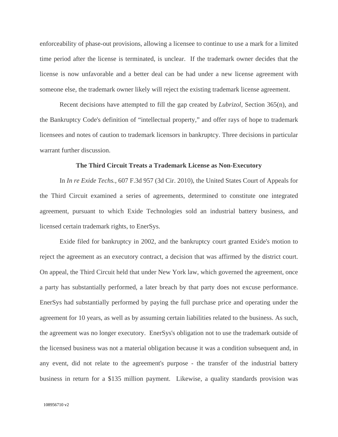enforceability of phase-out provisions, allowing a licensee to continue to use a mark for a limited time period after the license is terminated, is unclear. If the trademark owner decides that the license is now unfavorable and a better deal can be had under a new license agreement with someone else, the trademark owner likely will reject the existing trademark license agreement.

 Recent decisions have attempted to fill the gap created by *Lubrizol*, Section 365(n), and the Bankruptcy Code's definition of "intellectual property," and offer rays of hope to trademark licensees and notes of caution to trademark licensors in bankruptcy. Three decisions in particular warrant further discussion.

#### **The Third Circuit Treats a Trademark License as Non-Executory**

 In *In re Exide Techs.*, 607 F.3d 957 (3d Cir. 2010), the United States Court of Appeals for the Third Circuit examined a series of agreements, determined to constitute one integrated agreement, pursuant to which Exide Technologies sold an industrial battery business, and licensed certain trademark rights, to EnerSys.

 Exide filed for bankruptcy in 2002, and the bankruptcy court granted Exide's motion to reject the agreement as an executory contract, a decision that was affirmed by the district court. On appeal, the Third Circuit held that under New York law, which governed the agreement, once a party has substantially performed, a later breach by that party does not excuse performance. EnerSys had substantially performed by paying the full purchase price and operating under the agreement for 10 years, as well as by assuming certain liabilities related to the business. As such, the agreement was no longer executory. EnerSys's obligation not to use the trademark outside of the licensed business was not a material obligation because it was a condition subsequent and, in any event, did not relate to the agreement's purpose - the transfer of the industrial battery business in return for a \$135 million payment. Likewise, a quality standards provision was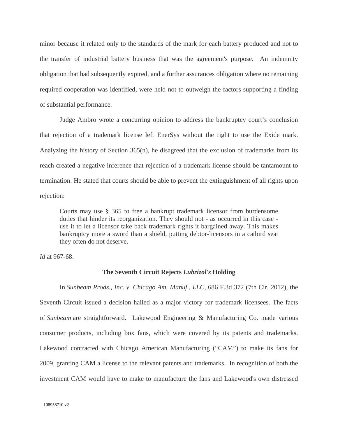minor because it related only to the standards of the mark for each battery produced and not to the transfer of industrial battery business that was the agreement's purpose. An indemnity obligation that had subsequently expired, and a further assurances obligation where no remaining required cooperation was identified, were held not to outweigh the factors supporting a finding of substantial performance.

 Judge Ambro wrote a concurring opinion to address the bankruptcy court's conclusion that rejection of a trademark license left EnerSys without the right to use the Exide mark. Analyzing the history of Section 365(n), he disagreed that the exclusion of trademarks from its reach created a negative inference that rejection of a trademark license should be tantamount to termination. He stated that courts should be able to prevent the extinguishment of all rights upon rejection:

Courts may use § 365 to free a bankrupt trademark licensor from burdensome duties that hinder its reorganization. They should not - as occurred in this case use it to let a licensor take back trademark rights it bargained away. This makes bankruptcy more a sword than a shield, putting debtor-licensors in a catbird seat they often do not deserve.

*Id* at 967-68.

#### **The Seventh Circuit Rejects** *Lubrizol's* **Holding**

 In *Sunbeam Prods., Inc. v. Chicago Am. Manuf., LLC*, 686 F.3d 372 (7th Cir. 2012), the Seventh Circuit issued a decision hailed as a major victory for trademark licensees. The facts of *Sunbeam* are straightforward. Lakewood Engineering & Manufacturing Co. made various consumer products, including box fans, which were covered by its patents and trademarks. Lakewood contracted with Chicago American Manufacturing ("CAM") to make its fans for 2009, granting CAM a license to the relevant patents and trademarks. In recognition of both the investment CAM would have to make to manufacture the fans and Lakewood's own distressed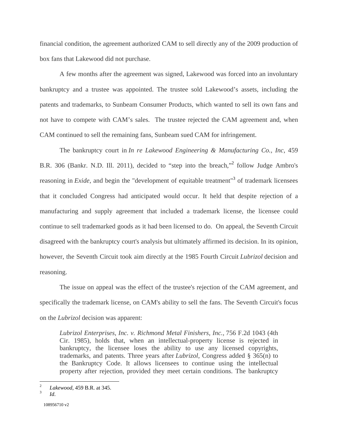financial condition, the agreement authorized CAM to sell directly any of the 2009 production of box fans that Lakewood did not purchase.

 A few months after the agreement was signed, Lakewood was forced into an involuntary bankruptcy and a trustee was appointed. The trustee sold Lakewood's assets, including the patents and trademarks, to Sunbeam Consumer Products, which wanted to sell its own fans and not have to compete with CAM's sales. The trustee rejected the CAM agreement and, when CAM continued to sell the remaining fans, Sunbeam sued CAM for infringement.

 The bankruptcy court in *In re Lakewood Engineering & Manufacturing Co., Inc*, 459 B.R. 306 (Bankr. N.D. Ill. 2011), decided to "step into the breach,"2 follow Judge Ambro's reasoning in *Exide*, and begin the "development of equitable treatment"<sup>3</sup> of trademark licensees that it concluded Congress had anticipated would occur. It held that despite rejection of a manufacturing and supply agreement that included a trademark license, the licensee could continue to sell trademarked goods as it had been licensed to do. On appeal, the Seventh Circuit disagreed with the bankruptcy court's analysis but ultimately affirmed its decision. In its opinion, however, the Seventh Circuit took aim directly at the 1985 Fourth Circuit *Lubrizol* decision and reasoning.

 The issue on appeal was the effect of the trustee's rejection of the CAM agreement, and specifically the trademark license, on CAM's ability to sell the fans. The Seventh Circuit's focus on the *Lubrizol* decision was apparent:

*Lubrizol Enterprises, Inc. v. Richmond Metal Finishers, Inc.,* 756 F.2d 1043 (4th Cir. 1985), holds that, when an intellectual-property license is rejected in bankruptcy, the licensee loses the ability to use any licensed copyrights, trademarks, and patents. Three years after *Lubrizol*, Congress added § 365(n) to the Bankruptcy Code. It allows licensees to continue using the intellectual property after rejection, provided they meet certain conditions. The bankruptcy

 $\sqrt{2}$ <sup>2</sup> *Lakewood*, 459 B.R. at 345. 3 *Id*.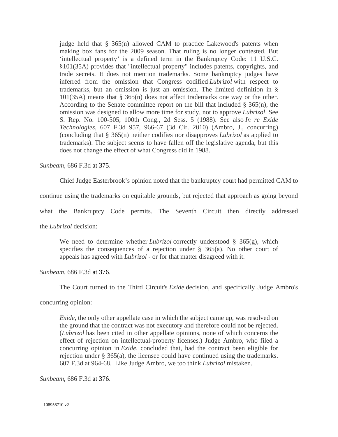judge held that  $\S$  365(n) allowed CAM to practice Lakewood's patents when making box fans for the 2009 season. That ruling is no longer contested. But 'intellectual property' is a defined term in the Bankruptcy Code: 11 U.S.C. §101(35A) provides that "intellectual property" includes patents, copyrights, and trade secrets. It does not mention trademarks. Some bankruptcy judges have inferred from the omission that Congress codified *Lubrizol* with respect to trademarks, but an omission is just an omission. The limited definition in § 101(35A) means that § 365(n) does not affect trademarks one way or the other. According to the Senate committee report on the bill that included § 365(n), the omission was designed to allow more time for study, not to approve *Lubrizol*. See S. Rep. No. 100-505, 100th Cong., 2d Sess. 5 (1988). See also *In re Exide Technologies*, 607 F.3d 957, 966-67 (3d Cir. 2010) (Ambro, J., concurring) (concluding that § 365(n) neither codifies nor disapproves *Lubrizol* as applied to trademarks). The subject seems to have fallen off the legislative agenda, but this does not change the effect of what Congress did in 1988.

*Sunbeam*, 686 F.3d at 375.

Chief Judge Easterbrook's opinion noted that the bankruptcy court had permitted CAM to

continue using the trademarks on equitable grounds, but rejected that approach as going beyond

what the Bankruptcy Code permits. The Seventh Circuit then directly addressed

the *Lubrizol* decision:

We need to determine whether *Lubrizol* correctly understood § 365(g), which specifies the consequences of a rejection under § 365(a). No other court of appeals has agreed with *Lubrizol* - or for that matter disagreed with it.

*Sunbeam*, 686 F.3d at 376.

The Court turned to the Third Circuit's *Exide* decision, and specifically Judge Ambro's

concurring opinion:

*Exide*, the only other appellate case in which the subject came up, was resolved on the ground that the contract was not executory and therefore could not be rejected. (*Lubrizol* has been cited in other appellate opinions, none of which concerns the effect of rejection on intellectual-property licenses.) Judge Ambro, who filed a concurring opinion in *Exide*, concluded that, had the contract been eligible for rejection under § 365(a), the licensee could have continued using the trademarks. 607 F.3d at 964-68. Like Judge Ambro, we too think *Lubrizol* mistaken.

*Sunbeam*, 686 F.3d at 376.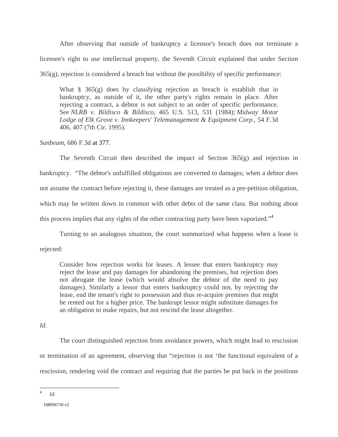After observing that outside of bankruptcy a licensor's breach does not terminate a licensee's right to use intellectual property, the Seventh Circuit explained that under Section  $365(g)$ , rejection is considered a breach but without the possibility of specific performance:

What § 365(g) does by classifying rejection as breach is establish that in bankruptcy, as outside of it, the other party's rights remain in place. After rejecting a contract, a debtor is not subject to an order of specific performance. See *NLRB v. Bildisco & Bildisco*, 465 U.S. 513, 531 (1984); *Midway Motor Lodge of Elk Grove v. Innkeepers' Telemanagement & Equipment Corp*., 54 F.3d 406, 407 (7th Cir. 1995).

*Sunbeam*, 686 F.3d at 377.

The Seventh Circuit then described the impact of Section  $365(g)$  and rejection in bankruptcy. "The debtor's unfulfilled obligations are converted to damages; when a debtor does not assume the contract before rejecting it, these damages are treated as a pre-petition obligation, which may be written down in common with other debts of the same class. But nothing about this process implies that any rights of the other contracting party have been vaporized."<sup>4</sup>

Turning to an analogous situation, the court summarized what happens when a lease is

rejected:

Consider how rejection works for leases. A lessee that enters bankruptcy may reject the lease and pay damages for abandoning the premises, but rejection does not abrogate the lease (which would absolve the debtor of the need to pay damages). Similarly a lessor that enters bankruptcy could not, by rejecting the lease, end the tenant's right to possession and thus re-acquire premises that might be rented out for a higher price. The bankrupt lessor might substitute damages for an obligation to make repairs, but not rescind the lease altogether.

*Id*.

 The court distinguished rejection from avoidance powers, which might lead to rescission or termination of an agreement, observing that "rejection is not 'the functional equivalent of a rescission, rendering void the contract and requiring that the parties be put back in the positions

 $\overline{4}$ <sup>4</sup> *Id*.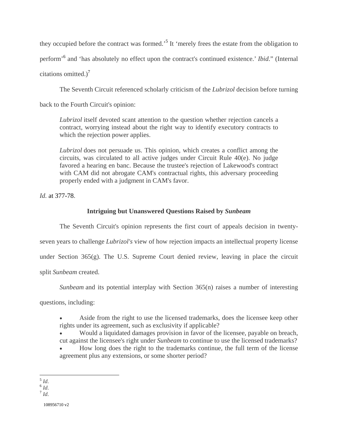they occupied before the contract was formed.<sup>5</sup> It 'merely frees the estate from the obligation to perform'<sup>6</sup> and 'has absolutely no effect upon the contract's continued existence.' *Ibid*." (Internal citations omitted.) $<sup>7</sup>$ </sup>

The Seventh Circuit referenced scholarly criticism of the *Lubrizol* decision before turning

back to the Fourth Circuit's opinion:

*Lubrizol* itself devoted scant attention to the question whether rejection cancels a contract, worrying instead about the right way to identify executory contracts to which the rejection power applies.

*Lubrizol* does not persuade us. This opinion, which creates a conflict among the circuits, was circulated to all active judges under Circuit Rule 40(e). No judge favored a hearing en banc. Because the trustee's rejection of Lakewood's contract with CAM did not abrogate CAM's contractual rights, this adversary proceeding properly ended with a judgment in CAM's favor.

*Id.* at 377-78.

# **Intriguing but Unanswered Questions Raised by** *Sunbeam*

The Seventh Circuit's opinion represents the first court of appeals decision in twenty-

seven years to challenge *Lubrizol's* view of how rejection impacts an intellectual property license

under Section 365(g). The U.S. Supreme Court denied review, leaving in place the circuit

split *Sunbeam* created.

*Sunbeam* and its potential interplay with Section 365(n) raises a number of interesting

questions, including:

- Aside from the right to use the licensed trademarks, does the licensee keep other rights under its agreement, such as exclusivity if applicable?
- Would a liquidated damages provision in favor of the licensee, payable on breach, cut against the licensee's right under *Sunbeam* to continue to use the licensed trademarks?
- How long does the right to the trademarks continue, the full term of the license agreement plus any extensions, or some shorter period?

 $\overline{a}$ 

<sup>5</sup> *Id*. 6 *Id*. 7 *Id*.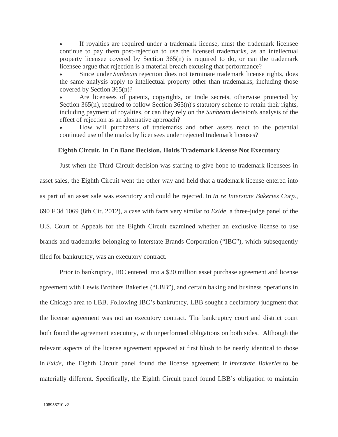If royalties are required under a trademark license, must the trademark licensee continue to pay them post-rejection to use the licensed trademarks, as an intellectual property licensee covered by Section 365(n) is required to do, or can the trademark licensee argue that rejection is a material breach excusing that performance?

 Since under *Sunbeam* rejection does not terminate trademark license rights, does the same analysis apply to intellectual property other than trademarks, including those covered by Section 365(n)?

 Are licensees of patents, copyrights, or trade secrets, otherwise protected by Section 365(n), required to follow Section 365(n)'s statutory scheme to retain their rights, including payment of royalties, or can they rely on the *Sunbeam* decision's analysis of the effect of rejection as an alternative approach?

 How will purchasers of trademarks and other assets react to the potential continued use of the marks by licensees under rejected trademark licenses?

# **Eighth Circuit, In En Banc Decision, Holds Trademark License Not Executory**

 Just when the Third Circuit decision was starting to give hope to trademark licensees in asset sales, the Eighth Circuit went the other way and held that a trademark license entered into as part of an asset sale was executory and could be rejected. In *In re Interstate Bakeries Corp.*, 690 F.3d 1069 (8th Cir. 2012), a case with facts very similar to *Exide*, a three-judge panel of the U.S. Court of Appeals for the Eighth Circuit examined whether an exclusive license to use brands and trademarks belonging to Interstate Brands Corporation ("IBC"), which subsequently filed for bankruptcy, was an executory contract.

 Prior to bankruptcy, IBC entered into a \$20 million asset purchase agreement and license agreement with Lewis Brothers Bakeries ("LBB"), and certain baking and business operations in the Chicago area to LBB. Following IBC's bankruptcy, LBB sought a declaratory judgment that the license agreement was not an executory contract. The bankruptcy court and district court both found the agreement executory, with unperformed obligations on both sides. Although the relevant aspects of the license agreement appeared at first blush to be nearly identical to those in *Exide*, the Eighth Circuit panel found the license agreement in *Interstate Bakeries* to be materially different. Specifically, the Eighth Circuit panel found LBB's obligation to maintain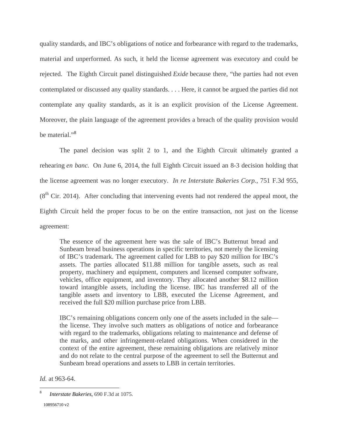quality standards, and IBC's obligations of notice and forbearance with regard to the trademarks, material and unperformed. As such, it held the license agreement was executory and could be rejected. The Eighth Circuit panel distinguished *Exide* because there, "the parties had not even contemplated or discussed any quality standards. . . . Here, it cannot be argued the parties did not contemplate any quality standards, as it is an explicit provision of the License Agreement. Moreover, the plain language of the agreement provides a breach of the quality provision would be material."<sup>8</sup>

 The panel decision was split 2 to 1, and the Eighth Circuit ultimately granted a rehearing *en banc.* On June 6, 2014, the full Eighth Circuit issued an 8-3 decision holding that the license agreement was no longer executory. *In re Interstate Bakeries Corp.*, 751 F.3d 955,  $(8<sup>th</sup> Cir. 2014)$ . After concluding that intervening events had not rendered the appeal moot, the Eighth Circuit held the proper focus to be on the entire transaction, not just on the license agreement:

The essence of the agreement here was the sale of IBC's Butternut bread and Sunbeam bread business operations in specific territories, not merely the licensing of IBC's trademark. The agreement called for LBB to pay \$20 million for IBC's assets. The parties allocated \$11.88 million for tangible assets, such as real property, machinery and equipment, computers and licensed computer software, vehicles, office equipment, and inventory. They allocated another \$8.12 million toward intangible assets, including the license. IBC has transferred all of the tangible assets and inventory to LBB, executed the License Agreement, and received the full \$20 million purchase price from LBB.

IBC's remaining obligations concern only one of the assets included in the sale the license. They involve such matters as obligations of notice and forbearance with regard to the trademarks, obligations relating to maintenance and defense of the marks, and other infringement-related obligations. When considered in the context of the entire agreement, these remaining obligations are relatively minor and do not relate to the central purpose of the agreement to sell the Butternut and Sunbeam bread operations and assets to LBB in certain territories.

*Id.* at 963-64.

<sup>108956710</sup> v2  $\overline{a}$ <sup>8</sup> *Interstate Bakeries*, 690 F.3d at 1075.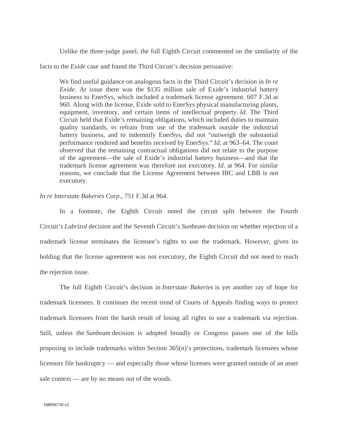Unlike the three-judge panel, the full Eighth Circuit commented on the similarity of the

facts to the *Exide* case and found the Third Circuit's decision persuasive:

We find useful guidance on analogous facts in the Third Circuit's decision in *In re Exide*. At issue there was the \$135 million sale of Exide's industrial battery business to EnerSys, which included a trademark license agreement. 607 F.3d at 960. Along with the license, Exide sold to EnerSys physical manufacturing plants, equipment, inventory, and certain items of intellectual property. *Id*. The Third Circuit held that Exide's remaining obligations, which included duties to maintain quality standards, to refrain from use of the trademark outside the industrial battery business, and to indemnify EnerSys, did not "outweigh the substantial performance rendered and benefits received by EnerSys." *Id*. at 963–64. The court observed that the remaining contractual obligations did not relate to the purpose of the agreement—the sale of Exide's industrial battery business—and that the trademark license agreement was therefore not executory. *Id*. at 964. For similar reasons, we conclude that the License Agreement between IBC and LBB is not executory.

*In re Interstate Bakeries Corp.*, 751 F.3d at 964.

 In a footnote, the Eighth Circuit noted the circuit split between the Fourth Circuit's *Lubrizol* decision and the Seventh Circuit's *Sunbeam* decision on whether rejection of a trademark license terminates the licensee's rights to use the trademark. However, given its holding that the license agreement was not executory, the Eighth Circuit did not need to reach the rejection issue.

 The full Eighth Circuit's decision in *Interstate Bakeries* is yet another ray of hope for trademark licensees. It continues the recent trend of Courts of Appeals finding ways to protect trademark licensees from the harsh result of losing all rights to use a trademark via rejection. Still, unless the *Sunbeam* decision is adopted broadly or Congress passes one of the bills proposing to include trademarks within Section 365(n)'s protections, trademark licensees whose licensors file bankruptcy — and especially those whose licenses were granted outside of an asset sale context — are by no means out of the woods.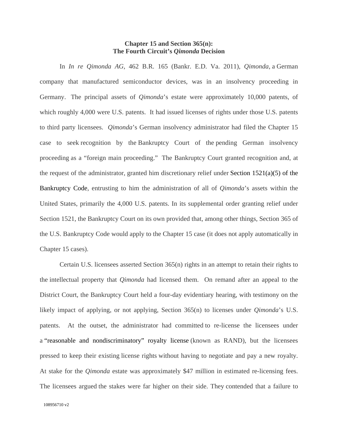# **Chapter 15 and Section 365(n): The Fourth Circuit's** *Qimonda* **Decision**

 In *In re Qimonda AG*, 462 B.R. 165 (Bankr. E.D. Va. 2011), *Qimonda*, a German company that manufactured semiconductor devices, was in an insolvency proceeding in Germany. The principal assets of *Qimonda*'s estate were approximately 10,000 patents, of which roughly 4,000 were U.S. patents. It had issued licenses of rights under those U.S. patents to third party licensees. *Qimonda*'s German insolvency administrator had filed the Chapter 15 case to seek recognition by the Bankruptcy Court of the pending German insolvency proceeding as a "foreign main proceeding." The Bankruptcy Court granted recognition and, at the request of the administrator, granted him discretionary relief under Section 1521(a)(5) of the Bankruptcy Code, entrusting to him the administration of all of *Qimonda*'s assets within the United States, primarily the 4,000 U.S. patents. In its supplemental order granting relief under Section 1521, the Bankruptcy Court on its own provided that, among other things, Section 365 of the U.S. Bankruptcy Code would apply to the Chapter 15 case (it does not apply automatically in Chapter 15 cases).

 Certain U.S. licensees asserted Section 365(n) rights in an attempt to retain their rights to the intellectual property that *Qimonda* had licensed them. On remand after an appeal to the District Court, the Bankruptcy Court held a four-day evidentiary hearing, with testimony on the likely impact of applying, or not applying, Section 365(n) to licenses under *Qimonda*'s U.S. patents. At the outset, the administrator had committed to re-license the licensees under a "reasonable and nondiscriminatory" royalty license (known as RAND), but the licensees pressed to keep their existing license rights without having to negotiate and pay a new royalty. At stake for the *Qimonda* estate was approximately \$47 million in estimated re-licensing fees. The licensees argued the stakes were far higher on their side. They contended that a failure to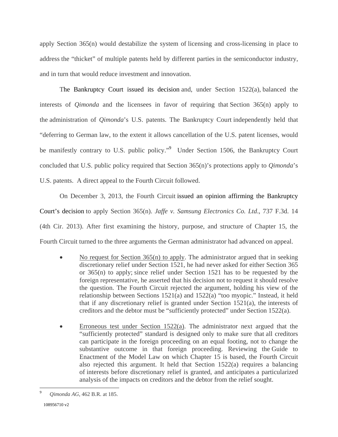apply Section 365(n) would destabilize the system of licensing and cross-licensing in place to address the "thicket" of multiple patents held by different parties in the semiconductor industry, and in turn that would reduce investment and innovation.

 The Bankruptcy Court issued its decision and, under Section 1522(a), balanced the interests of *Qimonda* and the licensees in favor of requiring that Section 365(n) apply to the administration of *Qimonda*'s U.S. patents. The Bankruptcy Court independently held that "deferring to German law, to the extent it allows cancellation of the U.S. patent licenses, would be manifestly contrary to U.S. public policy."<sup>9</sup> Under Section 1506, the Bankruptcy Court concluded that U.S. public policy required that Section 365(n)'s protections apply to *Qimonda*'s U.S. patents. A direct appeal to the Fourth Circuit followed.

 On December 3, 2013, the Fourth Circuit issued an opinion affirming the Bankruptcy Court's decision to apply Section 365(n). *Jaffe v. Samsung Electronics Co. Ltd*., 737 F.3d. 14 (4th Cir. 2013). After first examining the history, purpose, and structure of Chapter 15, the Fourth Circuit turned to the three arguments the German administrator had advanced on appeal.

- No request for Section 365(n) to apply. The administrator argued that in seeking discretionary relief under Section 1521, he had never asked for either Section 365 or 365(n) to apply; since relief under Section 1521 has to be requested by the foreign representative, he asserted that his decision not to request it should resolve the question. The Fourth Circuit rejected the argument, holding his view of the relationship between Sections 1521(a) and 1522(a) "too myopic." Instead, it held that if any discretionary relief is granted under Section 1521(a), the interests of creditors and the debtor must be "sufficiently protected" under Section 1522(a).
- Erroneous test under Section  $1522(a)$ . The administrator next argued that the "sufficiently protected" standard is designed only to make sure that all creditors can participate in the foreign proceeding on an equal footing, not to change the substantive outcome in that foreign proceeding. Reviewing the Guide to Enactment of the Model Law on which Chapter 15 is based, the Fourth Circuit also rejected this argument. It held that Section 1522(a) requires a balancing of interests before discretionary relief is granted, and anticipates a particularized analysis of the impacts on creditors and the debtor from the relief sought.

 $\overline{9}$ <sup>9</sup> *Qimonda AG*, 462 B.R. at 185.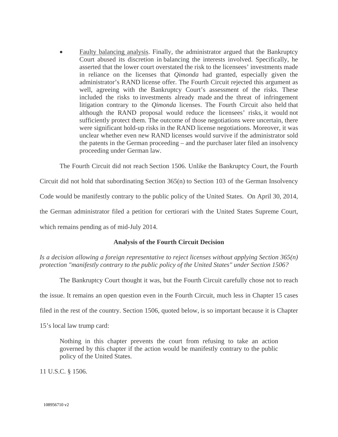• Faulty balancing analysis. Finally, the administrator argued that the Bankruptcy Court abused its discretion in balancing the interests involved. Specifically, he asserted that the lower court overstated the risk to the licensees' investments made in reliance on the licenses that *Qimonda* had granted, especially given the administrator's RAND license offer. The Fourth Circuit rejected this argument as well, agreeing with the Bankruptcy Court's assessment of the risks. These included the risks to investments already made and the threat of infringement litigation contrary to the *Qimonda* licenses. The Fourth Circuit also held that although the RAND proposal would reduce the licensees' risks, it would not sufficiently protect them. The outcome of those negotiations were uncertain, there were significant hold-up risks in the RAND license negotiations. Moreover, it was unclear whether even new RAND licenses would survive if the administrator sold the patents in the German proceeding – and the purchaser later filed an insolvency proceeding under German law.

The Fourth Circuit did not reach Section 1506. Unlike the Bankruptcy Court, the Fourth

Circuit did not hold that subordinating Section 365(n) to Section 103 of the German Insolvency

Code would be manifestly contrary to the public policy of the United States. On April 30, 2014,

the German administrator filed a petition for certiorari with the United States Supreme Court,

which remains pending as of mid-July 2014.

## **Analysis of the Fourth Circuit Decision**

*Is a decision allowing a foreign representative to reject licenses without applying Section 365(n) protection "manifestly contrary to the public policy of the United States" under Section 1506?* 

The Bankruptcy Court thought it was, but the Fourth Circuit carefully chose not to reach

the issue. It remains an open question even in the Fourth Circuit, much less in Chapter 15 cases

filed in the rest of the country. Section 1506, quoted below, is so important because it is Chapter

15's local law trump card:

Nothing in this chapter prevents the court from refusing to take an action governed by this chapter if the action would be manifestly contrary to the public policy of the United States.

11 U.S.C. § 1506.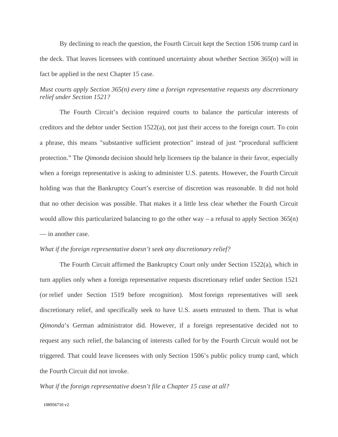By declining to reach the question, the Fourth Circuit kept the Section 1506 trump card in the deck. That leaves licensees with continued uncertainty about whether Section 365(n) will in fact be applied in the next Chapter 15 case.

# *Must courts apply Section 365(n) every time a foreign representative requests any discretionary relief under Section 1521?*

 The Fourth Circuit's decision required courts to balance the particular interests of creditors and the debtor under Section 1522(a), not just their access to the foreign court. To coin a phrase, this means "substantive sufficient protection" instead of just "procedural sufficient protection." The *Qimonda* decision should help licensees tip the balance in their favor, especially when a foreign representative is asking to administer U.S. patents. However, the Fourth Circuit holding was that the Bankruptcy Court's exercise of discretion was reasonable. It did not hold that no other decision was possible. That makes it a little less clear whether the Fourth Circuit would allow this particularized balancing to go the other way – a refusal to apply Section  $365(n)$ — in another case.

### *What if the foreign representative doesn't seek any discretionary relief?*

The Fourth Circuit affirmed the Bankruptcy Court only under Section 1522(a), which in turn applies only when a foreign representative requests discretionary relief under Section 1521 (or relief under Section 1519 before recognition). Most foreign representatives will seek discretionary relief, and specifically seek to have U.S. assets entrusted to them. That is what *Qimonda*'s German administrator did. However, if a foreign representative decided not to request any such relief, the balancing of interests called for by the Fourth Circuit would not be triggered. That could leave licensees with only Section 1506's public policy trump card, which the Fourth Circuit did not invoke.

*What if the foreign representative doesn't file a Chapter 15 case at all?*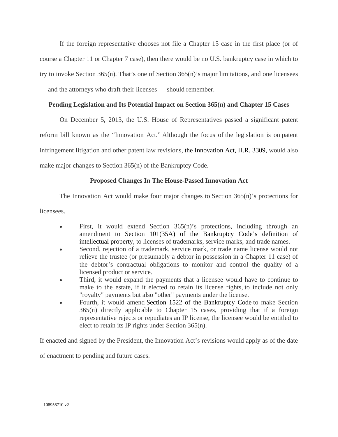If the foreign representative chooses not file a Chapter 15 case in the first place (or of course a Chapter 11 or Chapter 7 case), then there would be no U.S. bankruptcy case in which to try to invoke Section 365(n). That's one of Section 365(n)'s major limitations, and one licensees — and the attorneys who draft their licenses — should remember.

# **Pending Legislation and Its Potential Impact on Section 365(n) and Chapter 15 Cases**

 On December 5, 2013, the U.S. House of Representatives passed a significant patent reform bill known as the "Innovation Act." Although the focus of the legislation is on patent infringement litigation and other patent law revisions, the Innovation Act, H.R. 3309, would also make major changes to Section 365(n) of the Bankruptcy Code.

# **Proposed Changes In The House-Passed Innovation Act**

The Innovation Act would make four major changes to Section 365(n)'s protections for

licensees.

- First, it would extend Section 365(n)'s protections, including through an amendment to Section 101(35A) of the Bankruptcy Code's definition of intellectual property, to licenses of trademarks, service marks, and trade names.
- Second, rejection of a trademark, service mark, or trade name license would not relieve the trustee (or presumably a debtor in possession in a Chapter 11 case) of the debtor's contractual obligations to monitor and control the quality of a licensed product or service.
- Third, it would expand the payments that a licensee would have to continue to make to the estate, if it elected to retain its license rights, to include not only "royalty" payments but also "other" payments under the license.
- Fourth, it would amend Section 1522 of the Bankruptcy Code to make Section 365(n) directly applicable to Chapter 15 cases, providing that if a foreign representative rejects or repudiates an IP license, the licensee would be entitled to elect to retain its IP rights under Section 365(n).

If enacted and signed by the President, the Innovation Act's revisions would apply as of the date

of enactment to pending and future cases.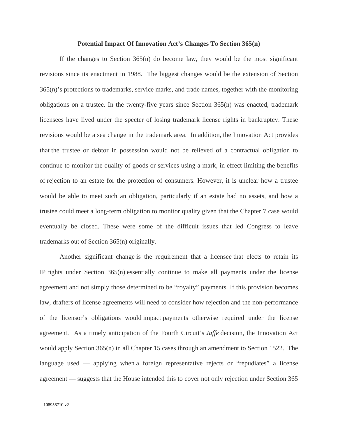#### **Potential Impact Of Innovation Act's Changes To Section 365(n)**

If the changes to Section 365(n) do become law, they would be the most significant revisions since its enactment in 1988. The biggest changes would be the extension of Section 365(n)'s protections to trademarks, service marks, and trade names, together with the monitoring obligations on a trustee. In the twenty-five years since Section  $365(n)$  was enacted, trademark licensees have lived under the specter of losing trademark license rights in bankruptcy. These revisions would be a sea change in the trademark area. In addition, the Innovation Act provides that the trustee or debtor in possession would not be relieved of a contractual obligation to continue to monitor the quality of goods or services using a mark, in effect limiting the benefits of rejection to an estate for the protection of consumers. However, it is unclear how a trustee would be able to meet such an obligation, particularly if an estate had no assets, and how a trustee could meet a long-term obligation to monitor quality given that the Chapter 7 case would eventually be closed. These were some of the difficult issues that led Congress to leave trademarks out of Section 365(n) originally.

 Another significant change is the requirement that a licensee that elects to retain its IP rights under Section 365(n) essentially continue to make all payments under the license agreement and not simply those determined to be "royalty" payments. If this provision becomes law, drafters of license agreements will need to consider how rejection and the non-performance of the licensor's obligations would impact payments otherwise required under the license agreement. As a timely anticipation of the Fourth Circuit's *Jaffe* decision, the Innovation Act would apply Section 365(n) in all Chapter 15 cases through an amendment to Section 1522. The language used — applying when a foreign representative rejects or "repudiates" a license agreement — suggests that the House intended this to cover not only rejection under Section 365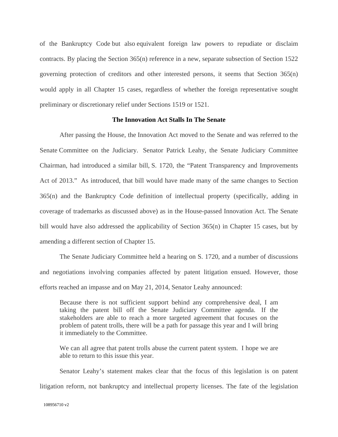of the Bankruptcy Code but also equivalent foreign law powers to repudiate or disclaim contracts. By placing the Section 365(n) reference in a new, separate subsection of Section 1522 governing protection of creditors and other interested persons, it seems that Section 365(n) would apply in all Chapter 15 cases, regardless of whether the foreign representative sought preliminary or discretionary relief under Sections 1519 or 1521.

### **The Innovation Act Stalls In The Senate**

 After passing the House, the Innovation Act moved to the Senate and was referred to the Senate Committee on the Judiciary. Senator Patrick Leahy, the Senate Judiciary Committee Chairman, had introduced a similar bill, S. 1720, the "Patent Transparency and Improvements Act of 2013." As introduced, that bill would have made many of the same changes to Section 365(n) and the Bankruptcy Code definition of intellectual property (specifically, adding in coverage of trademarks as discussed above) as in the House-passed Innovation Act. The Senate bill would have also addressed the applicability of Section 365(n) in Chapter 15 cases, but by amending a different section of Chapter 15.

 The Senate Judiciary Committee held a hearing on S. 1720, and a number of discussions and negotiations involving companies affected by patent litigation ensued. However, those efforts reached an impasse and on May 21, 2014, Senator Leahy announced:

Because there is not sufficient support behind any comprehensive deal, I am taking the patent bill off the Senate Judiciary Committee agenda. If the stakeholders are able to reach a more targeted agreement that focuses on the problem of patent trolls, there will be a path for passage this year and I will bring it immediately to the Committee.

We can all agree that patent trolls abuse the current patent system. I hope we are able to return to this issue this year.

 Senator Leahy's statement makes clear that the focus of this legislation is on patent litigation reform, not bankruptcy and intellectual property licenses. The fate of the legislation